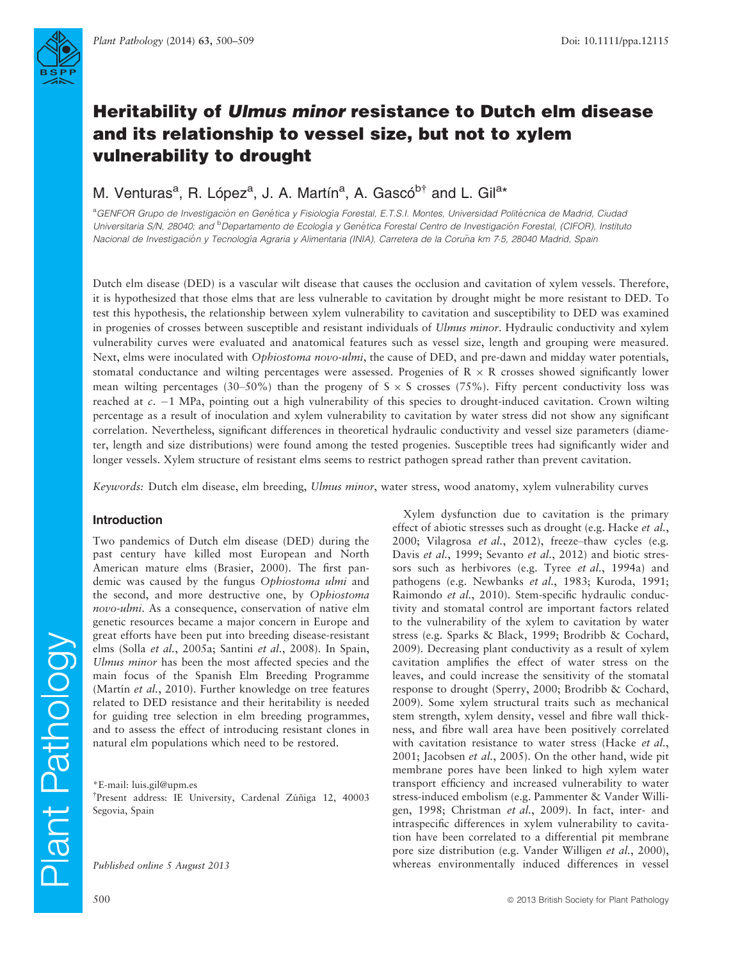

# Heritability of Ulmus minor resistance to Dutch elm disease and its relationship to vessel size, but not to xylem vulnerability to drought

## M. Venturas<sup>a</sup>, R. López<sup>a</sup>, J. A. Martín<sup>a</sup>, A. Gascó<sup>b†</sup> and L. Gil<sup>a\*</sup>

<sup>a</sup>GENFOR Grupo de Investigación en Genética y Fisiología Forestal, E.T.S.I. Montes, Universidad Politécnica de Madrid, Ciudad Universitaria S/N, 28040; and <sup>b</sup>Departamento de Ecología y Genética Forestal Centro de Investigación Forestal, (CIFOR), Instituto Nacional de Investigación y Tecnología Agraria y Alimentaria (INIA), Carretera de la Coruña km 7-5, 28040 Madrid, Spain

Dutch elm disease (DED) is a vascular wilt disease that causes the occlusion and cavitation of xylem vessels. Therefore, it is hypothesized that those elms that are less vulnerable to cavitation by drought might be more resistant to DED. To test this hypothesis, the relationship between xylem vulnerability to cavitation and susceptibility to DED was examined in progenies of crosses between susceptible and resistant individuals of Ulmus minor. Hydraulic conductivity and xylem vulnerability curves were evaluated and anatomical features such as vessel size, length and grouping were measured. Next, elms were inoculated with Ophiostoma novo-ulmi, the cause of DED, and pre-dawn and midday water potentials, stomatal conductance and wilting percentages were assessed. Progenies of  $R \times R$  crosses showed significantly lower mean wilting percentages (30–50%) than the progeny of  $S \times S$  crosses (75%). Fifty percent conductivity loss was reached at  $c$ .  $-1$  MPa, pointing out a high vulnerability of this species to drought-induced cavitation. Crown wilting percentage as a result of inoculation and xylem vulnerability to cavitation by water stress did not show any significant correlation. Nevertheless, significant differences in theoretical hydraulic conductivity and vessel size parameters (diameter, length and size distributions) were found among the tested progenies. Susceptible trees had significantly wider and longer vessels. Xylem structure of resistant elms seems to restrict pathogen spread rather than prevent cavitation.

Keywords: Dutch elm disease, elm breeding, Ulmus minor, water stress, wood anatomy, xylem vulnerability curves

#### Introduction

Two pandemics of Dutch elm disease (DED) during the past century have killed most European and North American mature elms (Brasier, 2000). The first pandemic was caused by the fungus Ophiostoma ulmi and the second, and more destructive one, by Ophiostoma novo-ulmi. As a consequence, conservation of native elm genetic resources became a major concern in Europe and great efforts have been put into breeding disease-resistant elms (Solla et al., 2005a; Santini et al., 2008). In Spain, Ulmus minor has been the most affected species and the main focus of the Spanish Elm Breeding Programme (Martín et al., 2010). Further knowledge on tree features related to DED resistance and their heritability is needed for guiding tree selection in elm breeding programmes, and to assess the effect of introducing resistant clones in natural elm populations which need to be restored.

\*E-mail: luis.gil@upm.es

<sup>†</sup>Present address: IE University, Cardenal Zúñiga 12, 40003 Segovia, Spain

Published online 5 August 2013

Xylem dysfunction due to cavitation is the primary effect of abiotic stresses such as drought (e.g. Hacke et al., 2000; Vilagrosa et al., 2012), freeze–thaw cycles (e.g. Davis et al., 1999; Sevanto et al., 2012) and biotic stressors such as herbivores (e.g. Tyree et al., 1994a) and pathogens (e.g. Newbanks et al., 1983; Kuroda, 1991; Raimondo et al., 2010). Stem-specific hydraulic conductivity and stomatal control are important factors related to the vulnerability of the xylem to cavitation by water stress (e.g. Sparks & Black, 1999; Brodribb & Cochard, 2009). Decreasing plant conductivity as a result of xylem cavitation amplifies the effect of water stress on the leaves, and could increase the sensitivity of the stomatal response to drought (Sperry, 2000; Brodribb & Cochard, 2009). Some xylem structural traits such as mechanical stem strength, xylem density, vessel and fibre wall thickness, and fibre wall area have been positively correlated with cavitation resistance to water stress (Hacke et al., 2001; Jacobsen et al., 2005). On the other hand, wide pit membrane pores have been linked to high xylem water transport efficiency and increased vulnerability to water stress-induced embolism (e.g. Pammenter & Vander Willigen, 1998; Christman et al., 2009). In fact, inter- and intraspecific differences in xylem vulnerability to cavitation have been correlated to a differential pit membrane pore size distribution (e.g. Vander Willigen et al., 2000), whereas environmentally induced differences in vessel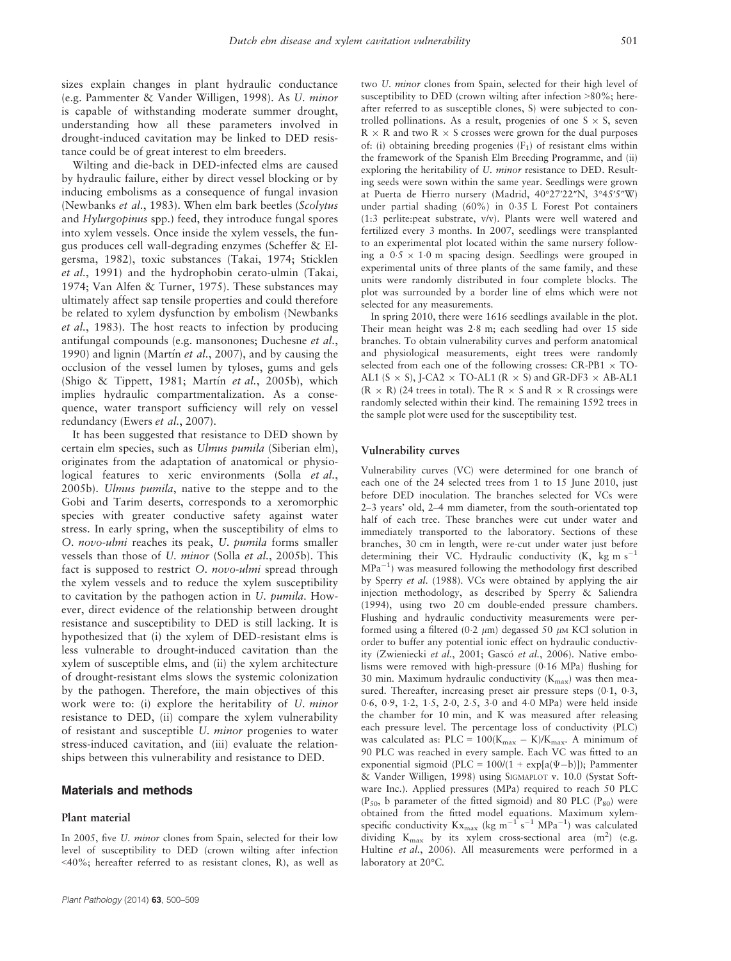sizes explain changes in plant hydraulic conductance (e.g. Pammenter & Vander Willigen, 1998). As U. minor is capable of withstanding moderate summer drought, understanding how all these parameters involved in drought-induced cavitation may be linked to DED resistance could be of great interest to elm breeders.

Wilting and die-back in DED-infected elms are caused by hydraulic failure, either by direct vessel blocking or by inducing embolisms as a consequence of fungal invasion (Newbanks et al., 1983). When elm bark beetles (Scolytus and Hylurgopinus spp.) feed, they introduce fungal spores into xylem vessels. Once inside the xylem vessels, the fungus produces cell wall-degrading enzymes (Scheffer & Elgersma, 1982), toxic substances (Takai, 1974; Sticklen et al., 1991) and the hydrophobin cerato-ulmin (Takai, 1974; Van Alfen & Turner, 1975). These substances may ultimately affect sap tensile properties and could therefore be related to xylem dysfunction by embolism (Newbanks et al., 1983). The host reacts to infection by producing antifungal compounds (e.g. mansonones; Duchesne et al., 1990) and lignin (Martín et al., 2007), and by causing the occlusion of the vessel lumen by tyloses, gums and gels (Shigo & Tippett, 1981; Martín et al., 2005b), which implies hydraulic compartmentalization. As a consequence, water transport sufficiency will rely on vessel redundancy (Ewers et al., 2007).

It has been suggested that resistance to DED shown by certain elm species, such as Ulmus pumila (Siberian elm), originates from the adaptation of anatomical or physiological features to xeric environments (Solla et al., 2005b). Ulmus pumila, native to the steppe and to the Gobi and Tarim deserts, corresponds to a xeromorphic species with greater conductive safety against water stress. In early spring, when the susceptibility of elms to O. novo-ulmi reaches its peak, U. pumila forms smaller vessels than those of U. minor (Solla et al., 2005b). This fact is supposed to restrict O. novo-ulmi spread through the xylem vessels and to reduce the xylem susceptibility to cavitation by the pathogen action in U. pumila. However, direct evidence of the relationship between drought resistance and susceptibility to DED is still lacking. It is hypothesized that (i) the xylem of DED-resistant elms is less vulnerable to drought-induced cavitation than the xylem of susceptible elms, and (ii) the xylem architecture of drought-resistant elms slows the systemic colonization by the pathogen. Therefore, the main objectives of this work were to: (i) explore the heritability of U. minor resistance to DED, (ii) compare the xylem vulnerability of resistant and susceptible U. minor progenies to water stress-induced cavitation, and (iii) evaluate the relationships between this vulnerability and resistance to DED.

#### Materials and methods

#### Plant material

In 2005, five U. minor clones from Spain, selected for their low level of susceptibility to DED (crown wilting after infection <40%; hereafter referred to as resistant clones, R), as well as two U. minor clones from Spain, selected for their high level of susceptibility to DED (crown wilting after infection >80%; hereafter referred to as susceptible clones, S) were subjected to controlled pollinations. As a result, progenies of one  $S \times S$ , seven  $R \times R$  and two  $R \times S$  crosses were grown for the dual purposes of: (i) obtaining breeding progenies  $(F_1)$  of resistant elms within the framework of the Spanish Elm Breeding Programme, and (ii) exploring the heritability of U. minor resistance to DED. Resulting seeds were sown within the same year. Seedlings were grown at Puerta de Hierro nursery (Madrid, 40°27′22″N, 3°45′5″W) under partial shading (60%) in 035 L Forest Pot containers (1:3 perlite:peat substrate, v/v). Plants were well watered and fertilized every 3 months. In 2007, seedlings were transplanted to an experimental plot located within the same nursery following a  $0.5 \times 1.0$  m spacing design. Seedlings were grouped in experimental units of three plants of the same family, and these units were randomly distributed in four complete blocks. The plot was surrounded by a border line of elms which were not selected for any measurements.

In spring 2010, there were 1616 seedlings available in the plot. Their mean height was 2.8 m; each seedling had over 15 side branches. To obtain vulnerability curves and perform anatomical and physiological measurements, eight trees were randomly selected from each one of the following crosses:  $CR-PB1 \times TO-$ AL1 (S  $\times$  S), J-CA2  $\times$  TO-AL1 (R  $\times$  S) and GR-DF3  $\times$  AB-AL1  $(R \times R)$  (24 trees in total). The R  $\times$  S and R  $\times$  R crossings were randomly selected within their kind. The remaining 1592 trees in the sample plot were used for the susceptibility test.

#### Vulnerability curves

Vulnerability curves (VC) were determined for one branch of each one of the 24 selected trees from 1 to 15 June 2010, just before DED inoculation. The branches selected for VCs were 2–3 years' old, 2–4 mm diameter, from the south-orientated top half of each tree. These branches were cut under water and immediately transported to the laboratory. Sections of these branches, 30 cm in length, were re-cut under water just before determining their VC. Hydraulic conductivity (K, kg m  $s^{-1}$  $MPa^{-1}$ ) was measured following the methodology first described by Sperry et al. (1988). VCs were obtained by applying the air injection methodology, as described by Sperry & Saliendra (1994), using two 20 cm double-ended pressure chambers. Flushing and hydraulic conductivity measurements were performed using a filtered (0.2  $\mu$ m) degassed 50  $\mu$ M KCl solution in order to buffer any potential ionic effect on hydraulic conductivity (Zwieniecki et al., 2001; Gascó et al., 2006). Native embolisms were removed with high-pressure (016 MPa) flushing for 30 min. Maximum hydraulic conductivity  $(K_{\text{max}})$  was then measured. Thereafter, increasing preset air pressure steps  $(0.1, 0.3, 1.5)$ 06, 09, 12, 15, 20, 25, 30 and 40 MPa) were held inside the chamber for 10 min, and K was measured after releasing each pressure level. The percentage loss of conductivity (PLC) was calculated as:  $PLC = 100(K_{max} - K)/K_{max}$ . A minimum of 90 PLC was reached in every sample. Each VC was fitted to an exponential sigmoid (PLC =  $100/(1 + \exp[a(\Psi - b)])$ ; Pammenter & Vander Willigen, 1998) using SIGMAPLOT v. 10.0 (Systat Software Inc.). Applied pressures (MPa) required to reach 50 PLC ( $P_{50}$ , b parameter of the fitted sigmoid) and 80 PLC ( $P_{80}$ ) were obtained from the fitted model equations. Maximum xylemspecific conductivity  $Kx_{max}$  (kg m<sup>-1</sup> s<sup>-1</sup> MPa<sup>-1</sup>) was calculated dividing  $K_{\text{max}}$  by its xylem cross-sectional area (m<sup>2</sup>) (e.g. Hultine et al., 2006). All measurements were performed in a laboratory at 20°C.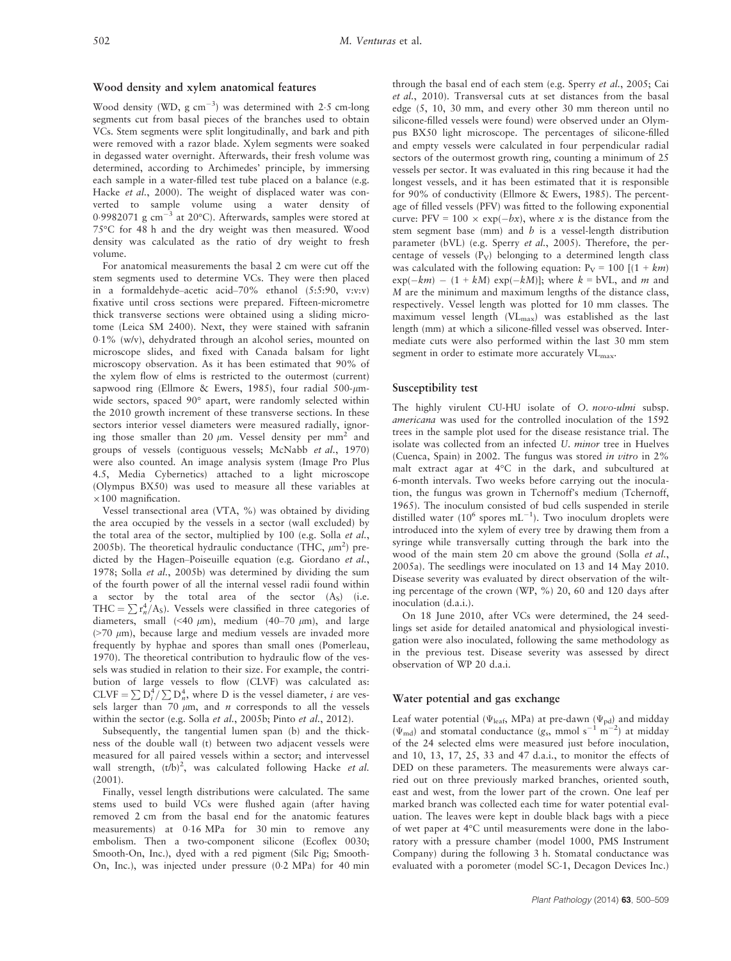#### Wood density and xylem anatomical features

Wood density (WD,  $g \text{ cm}^{-3}$ ) was determined with 2.5 cm-long segments cut from basal pieces of the branches used to obtain VCs. Stem segments were split longitudinally, and bark and pith were removed with a razor blade. Xylem segments were soaked in degassed water overnight. Afterwards, their fresh volume was determined, according to Archimedes' principle, by immersing each sample in a water-filled test tube placed on a balance (e.g. Hacke et al., 2000). The weight of displaced water was converted to sample volume using a water density of 0.9982071 g cm<sup>-3</sup> at 20°C). Afterwards, samples were stored at 75°C for 48 h and the dry weight was then measured. Wood density was calculated as the ratio of dry weight to fresh volume.

For anatomical measurements the basal 2 cm were cut off the stem segments used to determine VCs. They were then placed in a formaldehyde–acetic acid–70% ethanol (5:5:90, v:v:v) fixative until cross sections were prepared. Fifteen-micrometre thick transverse sections were obtained using a sliding microtome (Leica SM 2400). Next, they were stained with safranin 01% (w/v), dehydrated through an alcohol series, mounted on microscope slides, and fixed with Canada balsam for light microscopy observation. As it has been estimated that 90% of the xylem flow of elms is restricted to the outermost (current) sapwood ring (Ellmore & Ewers, 1985), four radial 500- $\mu$ mwide sectors, spaced 90° apart, were randomly selected within the 2010 growth increment of these transverse sections. In these sectors interior vessel diameters were measured radially, ignoring those smaller than 20  $\mu$ m. Vessel density per mm<sup>2</sup> and groups of vessels (contiguous vessels; McNabb et al., 1970) were also counted. An image analysis system (Image Pro Plus 4.5, Media Cybernetics) attached to a light microscope (Olympus BX50) was used to measure all these variables at  $\times 100$  magnification.

Vessel transectional area (VTA, %) was obtained by dividing the area occupied by the vessels in a sector (wall excluded) by the total area of the sector, multiplied by 100 (e.g. Solla et al., 2005b). The theoretical hydraulic conductance (THC,  $\mu$ m<sup>2</sup>) predicted by the Hagen–Poiseuille equation (e.g. Giordano et al., 1978; Solla et al., 2005b) was determined by dividing the sum of the fourth power of all the internal vessel radii found within a sector by the total area of the sector  $(A<sub>S</sub>)$  (i.e. THC =  $\sum_{n=1}^4$   $\Gamma_A^4$  A<sub>S</sub>). Vessels were classified in three categories of diameters, small (<40  $\mu$ m), medium (40–70  $\mu$ m), and large  $($ >70  $\mu$ m), because large and medium vessels are invaded more frequently by hyphae and spores than small ones (Pomerleau, 1970). The theoretical contribution to hydraulic flow of the vessels was studied in relation to their size. For example, the contribution of large vessels to flow (CLVF) was calculated as: CLVF =  $\sum D_i^4 / \sum D_n^4$ , where D is the vessel diameter, *i* are vessels larger than 70  $\mu$ m, and *n* corresponds to all the vessels within the sector (e.g. Solla et al., 2005b; Pinto et al., 2012).

Subsequently, the tangential lumen span (b) and the thickness of the double wall (t) between two adjacent vessels were measured for all paired vessels within a sector; and intervessel wall strength,  $(t/b)^2$ , was calculated following Hacke et al. (2001).

Finally, vessel length distributions were calculated. The same stems used to build VCs were flushed again (after having removed 2 cm from the basal end for the anatomic features measurements) at 016 MPa for 30 min to remove any embolism. Then a two-component silicone (Ecoflex 0030; Smooth-On, Inc.), dyed with a red pigment (Silc Pig; Smooth-On, Inc.), was injected under pressure (02 MPa) for 40 min through the basal end of each stem (e.g. Sperry et al., 2005; Cai et al., 2010). Transversal cuts at set distances from the basal edge (5, 10, 30 mm, and every other 30 mm thereon until no silicone-filled vessels were found) were observed under an Olympus BX50 light microscope. The percentages of silicone-filled and empty vessels were calculated in four perpendicular radial sectors of the outermost growth ring, counting a minimum of 25 vessels per sector. It was evaluated in this ring because it had the longest vessels, and it has been estimated that it is responsible for 90% of conductivity (Ellmore & Ewers, 1985). The percentage of filled vessels (PFV) was fitted to the following exponential curve: PFV = 100  $\times$  exp( $-bx$ ), where x is the distance from the stem segment base (mm) and  $b$  is a vessel-length distribution parameter (bVL) (e.g. Sperry et al., 2005). Therefore, the percentage of vessels  $(P_V)$  belonging to a determined length class was calculated with the following equation:  $P_V = 100$  [(1 + km)  $exp(-km) - (1 + kM) exp(-kM)$ ; where  $k = bVL$ , and m and M are the minimum and maximum lengths of the distance class, respectively. Vessel length was plotted for 10 mm classes. The maximum vessel length (VLmax) was established as the last length (mm) at which a silicone-filled vessel was observed. Intermediate cuts were also performed within the last 30 mm stem segment in order to estimate more accurately  $VL<sub>max</sub>$ .

## Susceptibility test

The highly virulent CU-HU isolate of O. novo-ulmi subsp. americana was used for the controlled inoculation of the 1592 trees in the sample plot used for the disease resistance trial. The isolate was collected from an infected U. minor tree in Huelves (Cuenca, Spain) in 2002. The fungus was stored in vitro in 2% malt extract agar at 4°C in the dark, and subcultured at 6-month intervals. Two weeks before carrying out the inoculation, the fungus was grown in Tchernoff's medium (Tchernoff, 1965). The inoculum consisted of bud cells suspended in sterile distilled water (10<sup>6</sup> spores mL<sup>-1</sup>). Two inoculum droplets were introduced into the xylem of every tree by drawing them from a syringe while transversally cutting through the bark into the wood of the main stem 20 cm above the ground (Solla et al., 2005a). The seedlings were inoculated on 13 and 14 May 2010. Disease severity was evaluated by direct observation of the wilting percentage of the crown (WP, %) 20, 60 and 120 days after inoculation (d.a.i.).

On 18 June 2010, after VCs were determined, the 24 seedlings set aside for detailed anatomical and physiological investigation were also inoculated, following the same methodology as in the previous test. Disease severity was assessed by direct observation of WP 20 d.a.i.

#### Water potential and gas exchange

Leaf water potential ( $\Psi_{\text{leaf}}$ , MPa) at pre-dawn ( $\Psi_{\text{pd}}$ ) and midday  $(\Psi_{\text{md}})$  and stomatal conductance  $(g_s, \text{ mmol s}^{-1} \text{ m}^{-2})$  at midday of the 24 selected elms were measured just before inoculation, and 10, 13, 17, 25, 33 and 47 d.a.i., to monitor the effects of DED on these parameters. The measurements were always carried out on three previously marked branches, oriented south, east and west, from the lower part of the crown. One leaf per marked branch was collected each time for water potential evaluation. The leaves were kept in double black bags with a piece of wet paper at 4°C until measurements were done in the laboratory with a pressure chamber (model 1000, PMS Instrument Company) during the following 3 h. Stomatal conductance was evaluated with a porometer (model SC-1, Decagon Devices Inc.)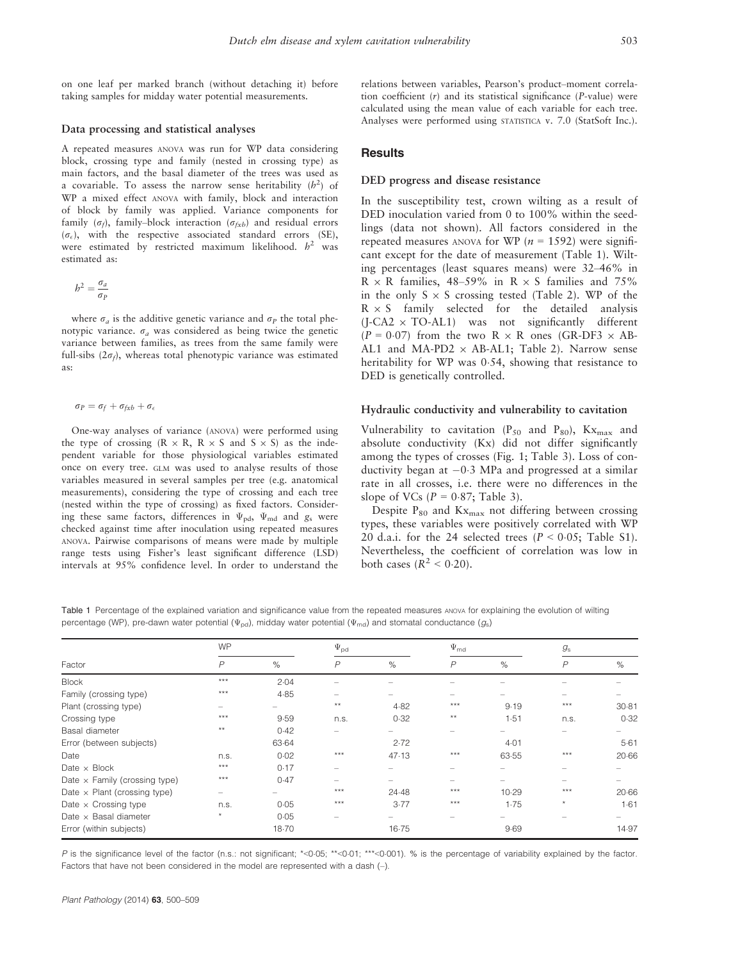on one leaf per marked branch (without detaching it) before taking samples for midday water potential measurements.

#### Data processing and statistical analyses

A repeated measures ANOVA was run for WP data considering block, crossing type and family (nested in crossing type) as main factors, and the basal diameter of the trees was used as a covariable. To assess the narrow sense heritability  $(h^2)$  of WP a mixed effect ANOVA with family, block and interaction of block by family was applied. Variance components for family ( $\sigma_f$ ), family–block interaction ( $\sigma_{fxb}$ ) and residual errors  $(\sigma_{\epsilon})$ , with the respective associated standard errors (SE), were estimated by restricted maximum likelihood.  $h^2$  was estimated as:

$$
b^2 = \frac{\sigma_a}{\sigma_P}
$$

where  $\sigma_a$  is the additive genetic variance and  $\sigma_P$  the total phenotypic variance.  $\sigma_a$  was considered as being twice the genetic variance between families, as trees from the same family were full-sibs  $(2\sigma_f)$ , whereas total phenotypic variance was estimated as:

 $\sigma_P = \sigma_f + \sigma_{fxb} + \sigma_{\epsilon}$ 

One-way analyses of variance (ANOVA) were performed using the type of crossing  $(R \times R, R \times S$  and  $S \times S)$  as the independent variable for those physiological variables estimated once on every tree. GLM was used to analyse results of those variables measured in several samples per tree (e.g. anatomical measurements), considering the type of crossing and each tree (nested within the type of crossing) as fixed factors. Considering these same factors, differences in  $\Psi_{\rm pd}$ ,  $\Psi_{\rm md}$  and  $g_{\rm s}$  were checked against time after inoculation using repeated measures ANOVA. Pairwise comparisons of means were made by multiple range tests using Fisher's least significant difference (LSD) intervals at 95% confidence level. In order to understand the relations between variables, Pearson's product–moment correlation coefficient (r) and its statistical significance (P-value) were calculated using the mean value of each variable for each tree. Analyses were performed using STATISTICA v. 7.0 (StatSoft Inc.).

## **Results**

#### DED progress and disease resistance

In the susceptibility test, crown wilting as a result of DED inoculation varied from 0 to 100% within the seedlings (data not shown). All factors considered in the repeated measures ANOVA for WP ( $n = 1592$ ) were significant except for the date of measurement (Table 1). Wilting percentages (least squares means) were 32–46% in  $R \times R$  families, 48–59% in  $R \times S$  families and 75% in the only  $S \times S$  crossing tested (Table 2). WP of the  $R \times S$  family selected for the detailed analysis  $(I-CA2 \times TO-AL1)$  was not significantly different  $(P = 0.07)$  from the two R  $\times$  R ones (GR-DF3  $\times$  AB-AL1 and MA-PD2  $\times$  AB-AL1; Table 2). Narrow sense heritability for WP was 0.54, showing that resistance to DED is genetically controlled.

#### Hydraulic conductivity and vulnerability to cavitation

Vulnerability to cavitation ( $P_{50}$  and  $P_{80}$ ), Kx<sub>max</sub> and absolute conductivity (Kx) did not differ significantly among the types of crosses (Fig. 1; Table 3). Loss of conductivity began at  $-0.3$  MPa and progressed at a similar rate in all crosses, i.e. there were no differences in the slope of VCs ( $P = 0.87$ ; Table 3).

Despite  $P_{80}$  and  $Kx_{max}$  not differing between crossing types, these variables were positively correlated with WP 20 d.a.i. for the 24 selected trees  $(P < 0.05$ ; Table S1). Nevertheless, the coefficient of correlation was low in both cases  $(R^2 < 0.20)$ .

Table 1 Percentage of the explained variation and significance value from the repeated measures ANOVA for explaining the evolution of wilting percentage (WP), pre-dawn water potential ( $\Psi_{\text{pd}}$ ), midday water potential ( $\Psi_{\text{md}}$ ) and stomatal conductance ( $g_s$ )

|                                      | <b>WP</b>      |       | $\Psi_{\rm pd}$ |       | $\Psi_{\text{md}}$ |       | $g_{\rm s}$    |       |
|--------------------------------------|----------------|-------|-----------------|-------|--------------------|-------|----------------|-------|
| Factor                               | $\overline{P}$ | $\%$  | $\overline{P}$  | $\%$  | $\overline{P}$     | $\%$  | $\overline{P}$ | %     |
| <b>Block</b>                         | $***$          | 2.04  |                 |       |                    |       |                |       |
| Family (crossing type)               | $***$          | 4.85  |                 |       |                    |       |                |       |
| Plant (crossing type)                |                |       | $**$            | 4.82  | $***$              | 9.19  | ***            | 30.81 |
| Crossing type                        | ***            | 9.59  | n.s.            | 0.32  | $**$               | 1.51  | n.s.           | 0.32  |
| Basal diameter                       | $**$           | 0.42  |                 |       |                    |       |                |       |
| Error (between subjects)             |                | 63.64 |                 | 2.72  |                    | 4.01  |                | 5.61  |
| Date                                 | n.s.           | 0.02  | $***$           | 47.13 | $***$              | 63.55 | $***$          | 20.66 |
| Date $\times$ Block                  | ***            | 0.17  |                 |       |                    |       |                |       |
| Date $\times$ Family (crossing type) | ***            | 0.47  |                 |       |                    |       |                |       |
| Date $\times$ Plant (crossing type)  | -              |       | $***$           | 24.48 | ***                | 10.29 | ***            | 20.66 |
| Date $\times$ Crossing type          | n.s.           | 0.05  | ***             | 3.77  | ***                | 1.75  | $\star$        | 1.61  |
| Date $\times$ Basal diameter         | $\star$        | 0.05  |                 |       |                    |       |                |       |
| Error (within subjects)              |                | 18.70 |                 | 16.75 |                    | 9.69  |                | 14.97 |

P is the significance level of the factor (n.s.: not significant; \*<0.05; \*\*<0.01; \*\*\*<0.001). % is the percentage of variability explained by the factor. Factors that have not been considered in the model are represented with a dash (–).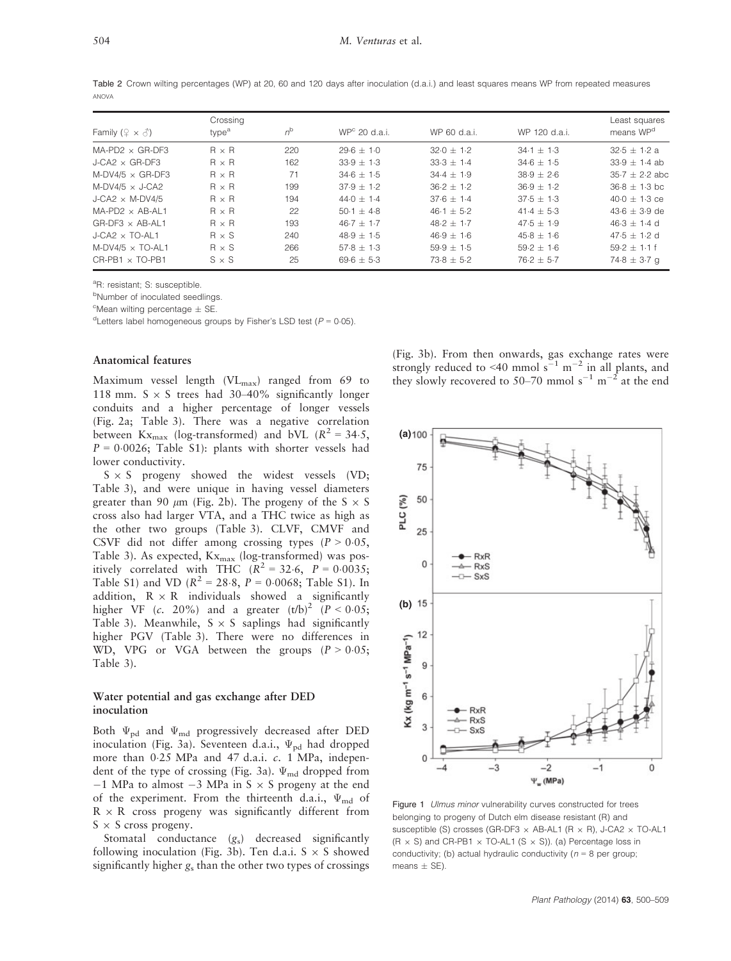Table 2 Crown wilting percentages (WP) at 20, 60 and 120 days after inoculation (d.a.i.) and least squares means WP from repeated measures ANOVA

|                                       | Crossing          |             |                 |                |                | Least squares         |
|---------------------------------------|-------------------|-------------|-----------------|----------------|----------------|-----------------------|
| Family ( $\varphi \times \vartheta$ ) | type <sup>a</sup> | $n^{\rm b}$ | $WPc$ 20 d.a.i. | WP 60 d.a.i.   | WP 120 d.a.i.  | means WP <sup>d</sup> |
| $MA-PD2 \times GR-DF3$                | $R \times R$      | 220         | $29.6 + 1.0$    | $32.0 + 1.2$   | $34.1 + 1.3$   | $32.5 + 1.2 a$        |
| $J-CA2 \times GR-DF3$                 | $R \times R$      | 162         | $33.9 \pm 1.3$  | $33.3 \pm 1.4$ | $34.6 \pm 1.5$ | $33.9 \pm 1.4$ ab     |
| $M-DV4/5 \times GR-DF3$               | $R \times R$      | 71          | $34.6 + 1.5$    | $34.4 + 1.9$   | $38.9 + 2.6$   | $35.7 + 2.2$ abc      |
| M-DV4/5 $\times$ J-CA2                | $R \times R$      | 199         | $37.9 + 1.2$    | $36.2 + 1.2$   | $36.9 + 1.2$   | $36.8 \pm 1.3$ bc     |
| J-CA2 $\times$ M-DV4/5                | $R \times R$      | 194         | 44.0 $\pm$ 1.4  | $37.6 + 1.4$   | $37.5 \pm 1.3$ | $40.0 + 1.3$ ce       |
| $MA-PD2 \times AB-AL1$                | $R \times R$      | 22          | $50.1 + 4.8$    | $46.1 + 5.2$   | $41.4 + 5.3$   | $43.6 + 3.9$ de       |
| $GR-DF3 \times AB-AL1$                | $R \times R$      | 193         | $46.7 + 1.7$    | $48.2 + 1.7$   | $47.5 + 1.9$   | $46.3 \pm 1.4$ d      |
| $J-CA2 \times TO-AL1$                 | $R \times S$      | 240         | $48.9 \pm 1.5$  | $46.9 + 1.6$   | $45.8 + 1.6$   | $47.5 + 1.2$ d        |
| M-DV4/5 $\times$ TO-AL1               | $R \times S$      | 266         | $57.8 + 1.3$    | $59.9 + 1.5$   | $59.2 + 1.6$   | $59.2 + 1.1$ f        |
| $CR-PB1 \times TO-PB1$                | $S \times S$      | 25          | $69.6 \pm 5.3$  | $73.8 \pm 5.2$ | $76.2 \pm 5.7$ | $74.8 \pm 3.7$ q      |

<sup>a</sup>R: resistant; S: susceptible.

**bNumber of inoculated seedlings.** 

<sup>c</sup>Mean wilting percentage  $\pm$  SE.<br><sup>d</sup>Letters label homogeneous gro

<sup>d</sup>Letters label homogeneous groups by Fisher's LSD test ( $P = 0.05$ ).

#### Anatomical features

Maximum vessel length (VL<sub>max</sub>) ranged from 69 to 118 mm.  $S \times S$  trees had 30–40% significantly longer conduits and a higher percentage of longer vessels (Fig. 2a; Table 3). There was a negative correlation between  $Kx_{max}$  (log-transformed) and bVL ( $R^2 = 34.5$ ,  $P = 0.0026$ ; Table S1): plants with shorter vessels had lower conductivity.

 $S \times S$  progeny showed the widest vessels (VD; Table 3), and were unique in having vessel diameters greater than 90  $\mu$ m (Fig. 2b). The progeny of the S  $\times$  S cross also had larger VTA, and a THC twice as high as the other two groups (Table 3). CLVF, CMVF and CSVF did not differ among crossing types  $(P > 0.05$ , Table 3). As expected,  $Kx_{max}$  (log-transformed) was positively correlated with THC  $(R^2 = 32.6, P = 0.0035;$ Table S1) and VD ( $R^2 = 28.8$ ,  $P = 0.0068$ ; Table S1). In addition,  $R \times R$  individuals showed a significantly higher VF (c. 20%) and a greater  $(t/b)^2$   $(P < 0.05;$ Table 3). Meanwhile,  $S \times S$  saplings had significantly higher PGV (Table 3). There were no differences in WD, VPG or VGA between the groups  $(P > 0.05;$ Table 3).

#### Water potential and gas exchange after DED inoculation

Both  $\Psi_{\rm pd}$  and  $\Psi_{\rm md}$  progressively decreased after DED inoculation (Fig. 3a). Seventeen d.a.i.,  $\Psi_{\rm pd}$  had dropped more than 0.25 MPa and 47 d.a.i. c. 1 MPa, independent of the type of crossing (Fig. 3a).  $\Psi_{\text{md}}$  dropped from  $-1$  MPa to almost  $-3$  MPa in S  $\times$  S progeny at the end of the experiment. From the thirteenth d.a.i.,  $\Psi_{\text{md}}$  of  $R \times R$  cross progeny was significantly different from  $S \times S$  cross progeny.

Stomatal conductance  $(g_s)$  decreased significantly following inoculation (Fig. 3b). Ten d.a.i.  $S \times S$  showed significantly higher  $g_s$  than the other two types of crossings (Fig. 3b). From then onwards, gas exchange rates were strongly reduced to <40 mmol  $s^{-1}$  m<sup>-2</sup> in all plants, and they slowly recovered to 50–70 mmol  $s^{-1}$  m<sup>-2</sup> at the end



Figure 1 Ulmus minor vulnerability curves constructed for trees belonging to progeny of Dutch elm disease resistant (R) and susceptible (S) crosses (GR-DF3  $\times$  AB-AL1 (R  $\times$  R), J-CA2  $\times$  TO-AL1  $(R \times S)$  and CR-PB1  $\times$  TO-AL1 (S  $\times$  S)). (a) Percentage loss in conductivity; (b) actual hydraulic conductivity ( $n = 8$  per group;  $means + SF$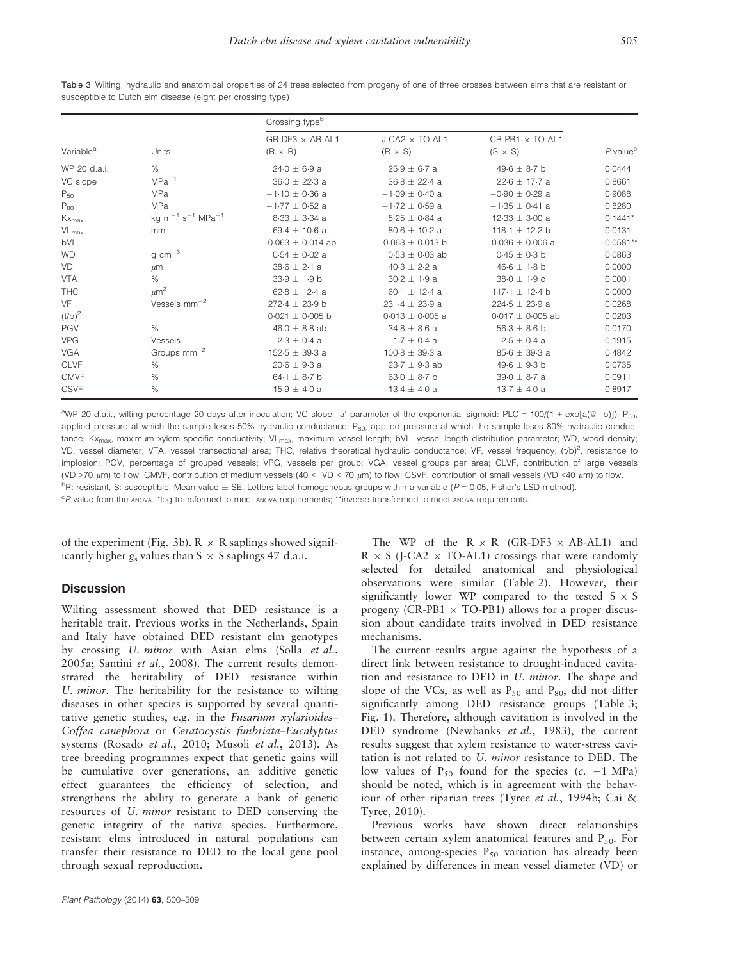| Table 3 Wilting, hydraulic and anatomical properties of 24 trees selected from progeny of one of three crosses between elms that are resistant or |  |
|---------------------------------------------------------------------------------------------------------------------------------------------------|--|
| susceptible to Dutch elm disease (eight per crossing type)                                                                                        |  |

|                       |                                               | Crossing type <sup>b</sup>               |                                         |                                   |                            |  |
|-----------------------|-----------------------------------------------|------------------------------------------|-----------------------------------------|-----------------------------------|----------------------------|--|
| Variable <sup>a</sup> | Units                                         | $GR-DF3 \times AB-AL1$<br>$(R \times R)$ | $J-CA2 \times TO-AL1$<br>$(R \times S)$ | CR-PB1 x TO-AL1<br>$(S \times S)$ | $P$ -value $\rm{^{\circ}}$ |  |
| WP 20 d.a.i.          | $\%$                                          | $24.0 \pm 6.9 a$                         | $25.9 \pm 6.7$ a                        | 49.6 $\pm$ 8.7 b                  | 0.0444                     |  |
| VC slope              | $MPa^{-1}$                                    | $36.0 \pm 22.3$ a                        | $36.8 \pm 22.4$ a                       | $22.6 \pm 17.7$ a                 | 0.8661                     |  |
| $P_{50}$              | MPa                                           | $-1.10 \pm 0.36$ a                       | $-1.09 \pm 0.40$ a                      | $-0.90 \pm 0.29$ a                | 0.9088                     |  |
| $P_{80}$              | <b>MPa</b>                                    | $-1.77 \pm 0.52$ a                       | $-1.72 + 0.59$ a                        | $-1.35 + 0.41$ a                  | 0.8280                     |  |
| $Kx_{max}$            | kg $m^{-1}$ s <sup>-1</sup> MPa <sup>-1</sup> | $8.33 \pm 3.34$ a                        | $5.25 \pm 0.84$ a                       | $12.33 \pm 3.00$ a                | $0.1441*$                  |  |
| $VL_{max}$            | mm                                            | 69.4 $\pm$ 10.6 a                        | $80.6 \pm 10.2$ a                       | 118-1 $\pm$ 12-2 b                | 0.0131                     |  |
| bVL                   |                                               | $0.063 \pm 0.014$ ab                     | $0.063 \pm 0.013$ b                     | $0.036 \pm 0.006$ a               | $0.0581**$                 |  |
| <b>WD</b>             | $\rm g\ cm^{-3}$                              | $0.54 \pm 0.02$ a                        | $0.53 \pm 0.03$ ab                      | $0.45 \pm 0.3$ b                  | 0.0863                     |  |
| VD                    | $\mu$ m                                       | $38.6 \pm 2.1 a$                         | $40.3 \pm 2.2$ a                        | $46.6 \pm 1.8$ b                  | 0.0000                     |  |
| <b>VTA</b>            | $\%$                                          | $33.9 \pm 1.9$ b                         | $30.2 \pm 1.9$ a                        | $38.0 \pm 1.9$ c                  | 0.0001                     |  |
| <b>THC</b>            | $\mu$ m <sup>2</sup>                          | $62.8 \pm 12.4$ a                        | 60.1 $\pm$ 12.4 a                       | 117.1 $\pm$ 12.4 b                | 0.0000                     |  |
| VF                    | Vessels $mm^{-2}$                             | 272.4 $\pm$ 23.9 b                       | $231.4 \pm 23.9$ a                      | 224.5 $\pm$ 23.9 a                | 0.0268                     |  |
| $(t/b)^2$             |                                               | $0.021 \pm 0.005$ b                      | $0.013 \pm 0.005$ a                     | $0.017 \pm 0.005$ ab              | 0.0203                     |  |
| PGV                   | $\%$                                          | $46.0 \pm 8.8$ ab                        | $34.8 \pm 8.6$ a                        | $56.3 \pm 8.6$ b                  | 0.0170                     |  |
| <b>VPG</b>            | Vessels                                       | $2.3 \pm 0.4$ a                          | $1.7 \pm 0.4$ a                         | $2.5 \pm 0.4$ a                   | 0.1915                     |  |
| <b>VGA</b>            | Groups $mm^{-2}$                              | $152.5 \pm 39.3$ a                       | $100.8 \pm 39.3$ a                      | $85.6 \pm 39.3$ a                 | 0.4842                     |  |
| <b>CLVF</b>           | $\%$                                          | $20.6 \pm 9.3$ a                         | $23.7 \pm 9.3$ ab                       | 49.6 $\pm$ 9.3 b                  | 0.0735                     |  |
| <b>CMVF</b>           | $\%$                                          | 64.1 $\pm$ 8.7 b                         | $63.0 \pm 8.7$ b                        | $39.0 \pm 8.7$ a                  | 0.0911                     |  |
| <b>CSVF</b>           | $\%$                                          | $15.9 \pm 4.0 a$                         | $13.4 \pm 4.0 a$                        | $13.7 \pm 4.0$ a                  | 0.8917                     |  |

<sup>a</sup>WP 20 d.a.i., wilting percentage 20 days after inoculation; VC slope, 'a' parameter of the exponential sigmoid: PLC = 100/(1 + exp[a(V-b)]); P<sub>50</sub>, applied pressure at which the sample loses 50% hydraulic conductance;  $P_{80}$ , applied pressure at which the sample loses 80% hydraulic conductance; Kx<sub>max</sub>, maximum xylem specific conductivity; VL<sub>max</sub>, maximum vessel length; bVL, vessel length distribution parameter; WD, wood density; VD, vessel diameter; VTA, vessel transectional area; THC, relative theoretical hydraulic conductance; VF, vessel frequency; (t/b)<sup>2</sup>, resistance to implosion; PGV, percentage of grouped vessels; VPG, vessels per group; VGA, vessel groups per area; CLVF, contribution of large vessels (VD >70 μm) to flow; CMVF, contribution of medium vessels (40 < VD < 70 μm) to flow; CSVF, contribution of small vessels (VD <40 μm) to flow. <sup>b</sup>R: resistant, S: susceptible. Mean value  $\pm$  SE. Letters label homogeneous groups within a variable (P = 0-05, Fisher's LSD method).<br>CRyalue from the ANNA <sup>\*</sup> loc-transformed to meet ANNA requirements: \*\*inverse-trans <sup>c</sup>P-value from the ANOVA. \*log-transformed to meet ANOVA requirements; \*\*inverse-transformed to meet ANOVA requirements

of the experiment (Fig. 3b).  $R \times R$  saplings showed significantly higher  $g_s$  values than S  $\times$  S saplings 47 d.a.i.

## **Discussion**

Wilting assessment showed that DED resistance is a heritable trait. Previous works in the Netherlands, Spain and Italy have obtained DED resistant elm genotypes by crossing U. minor with Asian elms (Solla et al., 2005a; Santini et al., 2008). The current results demonstrated the heritability of DED resistance within U. minor. The heritability for the resistance to wilting diseases in other species is supported by several quantitative genetic studies, e.g. in the Fusarium xylarioides– Coffea canephora or Ceratocystis fimbriata–Eucalyptus systems (Rosado et al., 2010; Musoli et al., 2013). As tree breeding programmes expect that genetic gains will be cumulative over generations, an additive genetic effect guarantees the efficiency of selection, and strengthens the ability to generate a bank of genetic resources of U. minor resistant to DED conserving the genetic integrity of the native species. Furthermore, resistant elms introduced in natural populations can transfer their resistance to DED to the local gene pool through sexual reproduction.

The WP of the  $R \times R$  (GR-DF3  $\times$  AB-AL1) and  $R \times S$  (J-CA2  $\times$  TO-AL1) crossings that were randomly selected for detailed anatomical and physiological observations were similar (Table 2). However, their significantly lower WP compared to the tested  $S \times S$ progeny (CR-PB1  $\times$  TO-PB1) allows for a proper discussion about candidate traits involved in DED resistance mechanisms.

The current results argue against the hypothesis of a direct link between resistance to drought-induced cavitation and resistance to DED in U. minor. The shape and slope of the VCs, as well as  $P_{50}$  and  $P_{80}$ , did not differ significantly among DED resistance groups (Table 3; Fig. 1). Therefore, although cavitation is involved in the DED syndrome (Newbanks et al., 1983), the current results suggest that xylem resistance to water-stress cavitation is not related to U. minor resistance to DED. The low values of  $P_{50}$  found for the species (c. -1 MPa) should be noted, which is in agreement with the behaviour of other riparian trees (Tyree et al., 1994b; Cai & Tyree, 2010).

Previous works have shown direct relationships between certain xylem anatomical features and  $P_{50}$ . For instance, among-species  $P_{50}$  variation has already been explained by differences in mean vessel diameter (VD) or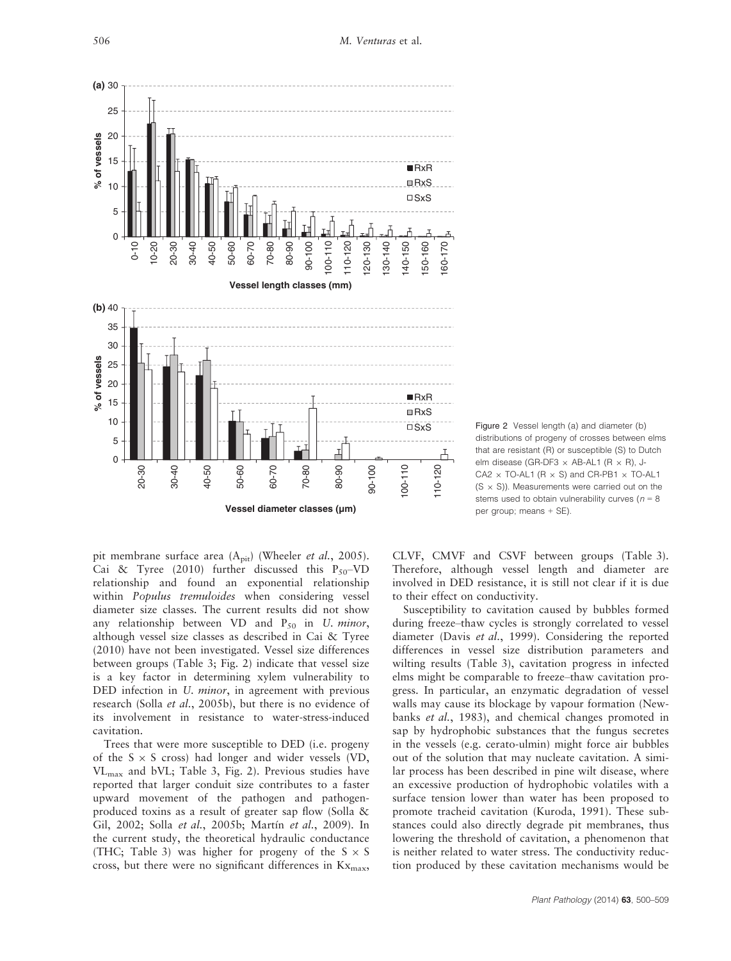

Figure 2 Vessel length (a) and diameter (b) distributions of progeny of crosses between elms that are resistant (R) or susceptible (S) to Dutch elm disease (GR-DF3  $\times$  AB-AL1 (R  $\times$  R), J- $CA2 \times TO-AL1$  (R  $\times$  S) and CR-PB1  $\times$  TO-AL1  $(S \times S)$ ). Measurements were carried out on the stems used to obtain vulnerability curves ( $n = 8$ per group; means + SE).

pit membrane surface area  $(A<sub>pit</sub>)$  (Wheeler *et al.*, 2005). Cai & Tyree (2010) further discussed this  $P_{50}$ -VD relationship and found an exponential relationship within Populus tremuloides when considering vessel diameter size classes. The current results did not show any relationship between VD and  $P_{50}$  in U. minor, although vessel size classes as described in Cai & Tyree (2010) have not been investigated. Vessel size differences between groups (Table 3; Fig. 2) indicate that vessel size is a key factor in determining xylem vulnerability to DED infection in *U. minor*, in agreement with previous research (Solla et al., 2005b), but there is no evidence of its involvement in resistance to water-stress-induced cavitation.

Trees that were more susceptible to DED (i.e. progeny of the  $S \times S$  cross) had longer and wider vessels (VD, VLmax and bVL; Table 3, Fig. 2). Previous studies have reported that larger conduit size contributes to a faster upward movement of the pathogen and pathogenproduced toxins as a result of greater sap flow (Solla & Gil, 2002; Solla et al., 2005b; Martín et al., 2009). In the current study, the theoretical hydraulic conductance (THC; Table 3) was higher for progeny of the  $S \times S$ cross, but there were no significant differences in  $Kx_{\text{max}}$ , CLVF, CMVF and CSVF between groups (Table 3). Therefore, although vessel length and diameter are involved in DED resistance, it is still not clear if it is due to their effect on conductivity.

Susceptibility to cavitation caused by bubbles formed during freeze–thaw cycles is strongly correlated to vessel diameter (Davis et al., 1999). Considering the reported differences in vessel size distribution parameters and wilting results (Table 3), cavitation progress in infected elms might be comparable to freeze–thaw cavitation progress. In particular, an enzymatic degradation of vessel walls may cause its blockage by vapour formation (Newbanks et al., 1983), and chemical changes promoted in sap by hydrophobic substances that the fungus secretes in the vessels (e.g. cerato-ulmin) might force air bubbles out of the solution that may nucleate cavitation. A similar process has been described in pine wilt disease, where an excessive production of hydrophobic volatiles with a surface tension lower than water has been proposed to promote tracheid cavitation (Kuroda, 1991). These substances could also directly degrade pit membranes, thus lowering the threshold of cavitation, a phenomenon that is neither related to water stress. The conductivity reduction produced by these cavitation mechanisms would be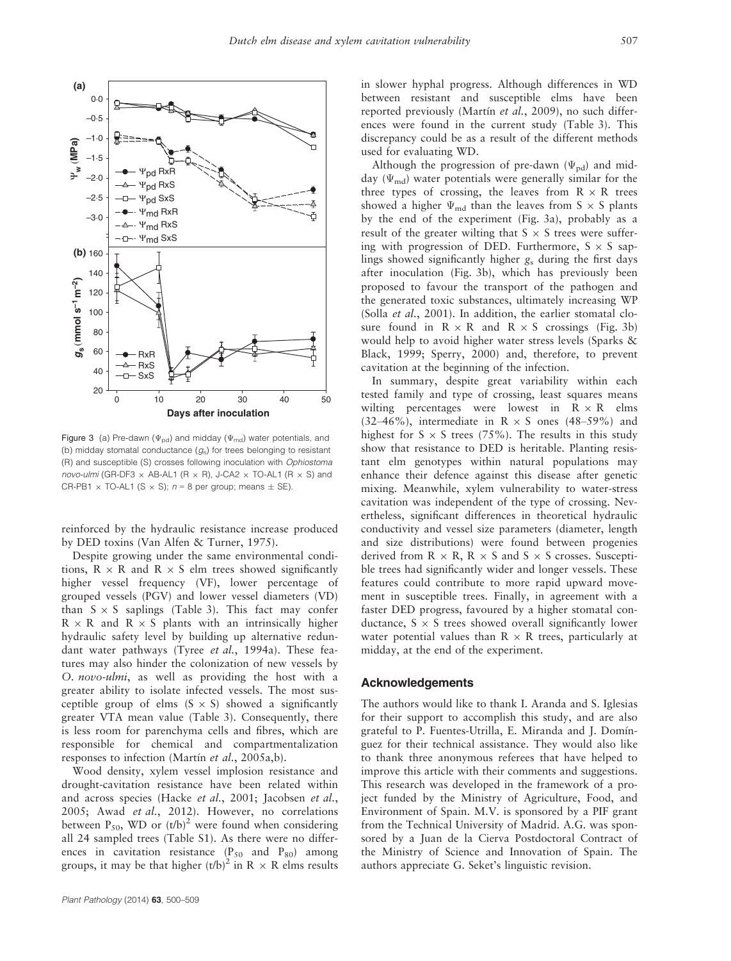

Figure 3 (a) Pre-dawn ( $\Psi_{\text{pd}}$ ) and midday ( $\Psi_{\text{md}}$ ) water potentials, and (b) midday stomatal conductance  $(g_s)$  for trees belonging to resistant (R) and susceptible (S) crosses following inoculation with Ophiostoma novo-ulmi (GR-DF3  $\times$  AB-AL1 (R  $\times$  R), J-CA2  $\times$  TO-AL1 (R  $\times$  S) and CR-PB1  $\times$  TO-AL1 (S  $\times$  S); n = 8 per group; means  $\pm$  SE).

reinforced by the hydraulic resistance increase produced by DED toxins (Van Alfen & Turner, 1975).

Despite growing under the same environmental conditions,  $R \times R$  and  $R \times S$  elm trees showed significantly higher vessel frequency (VF), lower percentage of grouped vessels (PGV) and lower vessel diameters (VD) than  $S \times S$  saplings (Table 3). This fact may confer  $R \times R$  and  $R \times S$  plants with an intrinsically higher hydraulic safety level by building up alternative redundant water pathways (Tyree et al., 1994a). These features may also hinder the colonization of new vessels by O. novo-ulmi, as well as providing the host with a greater ability to isolate infected vessels. The most susceptible group of elms  $(S \times S)$  showed a significantly greater VTA mean value (Table 3). Consequently, there is less room for parenchyma cells and fibres, which are responsible for chemical and compartmentalization responses to infection (Martín et al., 2005a,b).

Wood density, xylem vessel implosion resistance and drought-cavitation resistance have been related within and across species (Hacke et al., 2001; Jacobsen et al., 2005; Awad et al., 2012). However, no correlations between  $P_{50}$ , WD or  $(t/b)^2$  were found when considering all 24 sampled trees (Table S1). As there were no differences in cavitation resistance  $(P_{50}$  and  $P_{80})$  among groups, it may be that higher  $(t/b)^2$  in R  $\times$  R elms results in slower hyphal progress. Although differences in WD between resistant and susceptible elms have been reported previously (Martín et al., 2009), no such differences were found in the current study (Table 3). This discrepancy could be as a result of the different methods used for evaluating WD.

Although the progression of pre-dawn  $(\Psi_{\text{pd}})$  and midday ( $\Psi_{\rm md}$ ) water potentials were generally similar for the three types of crossing, the leaves from  $R \times R$  trees showed a higher  $\Psi_{\text{md}}$  than the leaves from S  $\times$  S plants by the end of the experiment (Fig. 3a), probably as a result of the greater wilting that  $S \times S$  trees were suffering with progression of DED. Furthermore,  $S \times S$  saplings showed significantly higher  $g_s$  during the first days after inoculation (Fig. 3b), which has previously been proposed to favour the transport of the pathogen and the generated toxic substances, ultimately increasing WP (Solla et al., 2001). In addition, the earlier stomatal closure found in  $R \times R$  and  $R \times S$  crossings (Fig. 3b) would help to avoid higher water stress levels (Sparks & Black, 1999; Sperry, 2000) and, therefore, to prevent cavitation at the beginning of the infection.

In summary, despite great variability within each tested family and type of crossing, least squares means wilting percentages were lowest in  $R \times R$  elms (32–46%), intermediate in  $R \times S$  ones (48–59%) and highest for  $S \times S$  trees (75%). The results in this study show that resistance to DED is heritable. Planting resistant elm genotypes within natural populations may enhance their defence against this disease after genetic mixing. Meanwhile, xylem vulnerability to water-stress cavitation was independent of the type of crossing. Nevertheless, significant differences in theoretical hydraulic conductivity and vessel size parameters (diameter, length and size distributions) were found between progenies derived from  $R \times R$ ,  $R \times S$  and  $S \times S$  crosses. Susceptible trees had significantly wider and longer vessels. These features could contribute to more rapid upward movement in susceptible trees. Finally, in agreement with a faster DED progress, favoured by a higher stomatal conductance,  $S \times S$  trees showed overall significantly lower water potential values than  $R \times R$  trees, particularly at midday, at the end of the experiment.

## Acknowledgements

The authors would like to thank I. Aranda and S. Iglesias for their support to accomplish this study, and are also grateful to P. Fuentes-Utrilla, E. Miranda and J. Domínguez for their technical assistance. They would also like to thank three anonymous referees that have helped to improve this article with their comments and suggestions. This research was developed in the framework of a project funded by the Ministry of Agriculture, Food, and Environment of Spain. M.V. is sponsored by a PIF grant from the Technical University of Madrid. A.G. was sponsored by a Juan de la Cierva Postdoctoral Contract of the Ministry of Science and Innovation of Spain. The authors appreciate G. Seket's linguistic revision.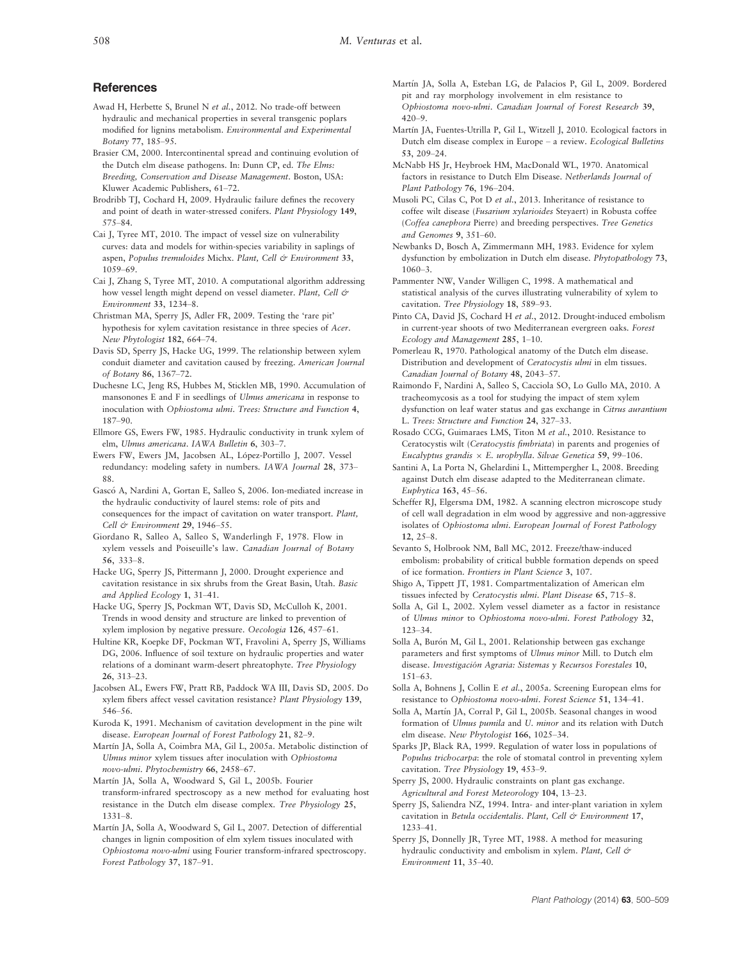## **References**

- Awad H, Herbette S, Brunel N et al., 2012. No trade-off between hydraulic and mechanical properties in several transgenic poplars modified for lignins metabolism. Environmental and Experimental Botany 77, 185–95.
- Brasier CM, 2000. Intercontinental spread and continuing evolution of the Dutch elm disease pathogens. In: Dunn CP, ed. The Elms: Breeding, Conservation and Disease Management. Boston, USA: Kluwer Academic Publishers, 61–72.
- Brodribb TJ, Cochard H, 2009. Hydraulic failure defines the recovery and point of death in water-stressed conifers. Plant Physiology 149, 575–84.
- Cai J, Tyree MT, 2010. The impact of vessel size on vulnerability curves: data and models for within-species variability in saplings of aspen, Populus tremuloides Michx. Plant, Cell & Environment 33, 1059–69.
- Cai J, Zhang S, Tyree MT, 2010. A computational algorithm addressing how vessel length might depend on vessel diameter. Plant, Cell & Environment 33, 1234–8.
- Christman MA, Sperry JS, Adler FR, 2009. Testing the 'rare pit' hypothesis for xylem cavitation resistance in three species of Acer. New Phytologist 182, 664–74.
- Davis SD, Sperry JS, Hacke UG, 1999. The relationship between xylem conduit diameter and cavitation caused by freezing. American Journal of Botany 86, 1367–72.
- Duchesne LC, Jeng RS, Hubbes M, Sticklen MB, 1990. Accumulation of mansonones E and F in seedlings of Ulmus americana in response to inoculation with Ophiostoma ulmi. Trees: Structure and Function 4, 187–90.
- Ellmore GS, Ewers FW, 1985. Hydraulic conductivity in trunk xylem of elm, Ulmus americana. IAWA Bulletin 6, 303–7.
- Ewers FW, Ewers JM, Jacobsen AL, López-Portillo J, 2007. Vessel redundancy: modeling safety in numbers. IAWA Journal 28, 373– 88.
- Gascó A, Nardini A, Gortan E, Salleo S, 2006. Ion-mediated increase in the hydraulic conductivity of laurel stems: role of pits and consequences for the impact of cavitation on water transport. Plant, Cell & Environment 29, 1946–55.
- Giordano R, Salleo A, Salleo S, Wanderlingh F, 1978. Flow in xylem vessels and Poiseuille's law. Canadian Journal of Botany 56, 333–8.
- Hacke UG, Sperry JS, Pittermann J, 2000. Drought experience and cavitation resistance in six shrubs from the Great Basin, Utah. Basic and Applied Ecology 1, 31–41.
- Hacke UG, Sperry JS, Pockman WT, Davis SD, McCulloh K, 2001. Trends in wood density and structure are linked to prevention of xylem implosion by negative pressure. Oecologia 126, 457–61.
- Hultine KR, Koepke DF, Pockman WT, Fravolini A, Sperry JS, Williams DG, 2006. Influence of soil texture on hydraulic properties and water relations of a dominant warm-desert phreatophyte. Tree Physiology 26, 313–23.
- Jacobsen AL, Ewers FW, Pratt RB, Paddock WA III, Davis SD, 2005. Do xylem fibers affect vessel cavitation resistance? Plant Physiology 139, 546–56.
- Kuroda K, 1991. Mechanism of cavitation development in the pine wilt disease. European Journal of Forest Pathology 21, 82–9.
- Martín JA, Solla A, Coimbra MA, Gil L, 2005a. Metabolic distinction of Ulmus minor xylem tissues after inoculation with Ophiostoma novo-ulmi. Phytochemistry 66, 2458–67.
- Martín JA, Solla A, Woodward S, Gil L, 2005b. Fourier transform-infrared spectroscopy as a new method for evaluating host resistance in the Dutch elm disease complex. Tree Physiology 25, 1331–8.
- Martín JA, Solla A, Woodward S, Gil L, 2007. Detection of differential changes in lignin composition of elm xylem tissues inoculated with Ophiostoma novo-ulmi using Fourier transform-infrared spectroscopy. Forest Pathology 37, 187–91.
- Martín JA, Solla A, Esteban LG, de Palacios P, Gil L, 2009. Bordered pit and ray morphology involvement in elm resistance to Ophiostoma novo-ulmi. Canadian Journal of Forest Research 39, 420–9.
- Martín JA, Fuentes-Utrilla P, Gil L, Witzell J, 2010. Ecological factors in Dutch elm disease complex in Europe – a review. Ecological Bulletins 53, 209–24.
- McNabb HS Jr, Heybroek HM, MacDonald WL, 1970. Anatomical factors in resistance to Dutch Elm Disease. Netherlands Journal of Plant Pathology 76, 196–204.
- Musoli PC, Cilas C, Pot D et al., 2013. Inheritance of resistance to coffee wilt disease (Fusarium xylarioides Steyaert) in Robusta coffee (Coffea canephora Pierre) and breeding perspectives. Tree Genetics and Genomes 9, 351–60.
- Newbanks D, Bosch A, Zimmermann MH, 1983. Evidence for xylem dysfunction by embolization in Dutch elm disease. Phytopathology 73, 1060–3.
- Pammenter NW, Vander Willigen C, 1998. A mathematical and statistical analysis of the curves illustrating vulnerability of xylem to cavitation. Tree Physiology 18, 589–93.
- Pinto CA, David JS, Cochard H et al., 2012. Drought-induced embolism in current-year shoots of two Mediterranean evergreen oaks. Forest Ecology and Management 285, 1–10.
- Pomerleau R, 1970. Pathological anatomy of the Dutch elm disease. Distribution and development of Ceratocystis ulmi in elm tissues. Canadian Journal of Botany 48, 2043–57.
- Raimondo F, Nardini A, Salleo S, Cacciola SO, Lo Gullo MA, 2010. A tracheomycosis as a tool for studying the impact of stem xylem dysfunction on leaf water status and gas exchange in Citrus aurantium L. Trees: Structure and Function 24, 327–33.
- Rosado CCG, Guimaraes LMS, Titon M et al., 2010. Resistance to Ceratocystis wilt (Ceratocystis fimbriata) in parents and progenies of Eucalyptus grandis  $\times$  E. urophylla. Silvae Genetica 59, 99–106.
- Santini A, La Porta N, Ghelardini L, Mittempergher L, 2008. Breeding against Dutch elm disease adapted to the Mediterranean climate. Euphytica 163, 45–56.
- Scheffer RJ, Elgersma DM, 1982. A scanning electron microscope study of cell wall degradation in elm wood by aggressive and non-aggressive isolates of Ophiostoma ulmi. European Journal of Forest Pathology 12, 25–8.
- Sevanto S, Holbrook NM, Ball MC, 2012. Freeze/thaw-induced embolism: probability of critical bubble formation depends on speed of ice formation. Frontiers in Plant Science 3, 107.
- Shigo A, Tippett JT, 1981. Compartmentalization of American elm tissues infected by Ceratocystis ulmi. Plant Disease 65, 715–8.
- Solla A, Gil L, 2002. Xylem vessel diameter as a factor in resistance of Ulmus minor to Ophiostoma novo-ulmi. Forest Pathology 32, 123–34.
- Solla A, Burón M, Gil L, 2001. Relationship between gas exchange parameters and first symptoms of Ulmus minor Mill. to Dutch elm disease. Investigacion Agraria: Sistemas y Recursos Forestales 10, 151–63.
- Solla A, Bohnens J, Collin E et al., 2005a. Screening European elms for resistance to Ophiostoma novo-ulmi. Forest Science 51, 134–41.
- Solla A, Martín JA, Corral P, Gil L, 2005b. Seasonal changes in wood formation of Ulmus pumila and U. minor and its relation with Dutch elm disease. New Phytologist 166, 1025–34.
- Sparks JP, Black RA, 1999. Regulation of water loss in populations of Populus trichocarpa: the role of stomatal control in preventing xylem cavitation. Tree Physiology 19, 453–9.
- Sperry JS, 2000. Hydraulic constraints on plant gas exchange. Agricultural and Forest Meteorology 104, 13–23.
- Sperry JS, Saliendra NZ, 1994. Intra- and inter-plant variation in xylem cavitation in Betula occidentalis. Plant, Cell & Environment 17, 1233–41.
- Sperry JS, Donnelly JR, Tyree MT, 1988. A method for measuring hydraulic conductivity and embolism in xylem. Plant, Cell & Environment 11, 35–40.